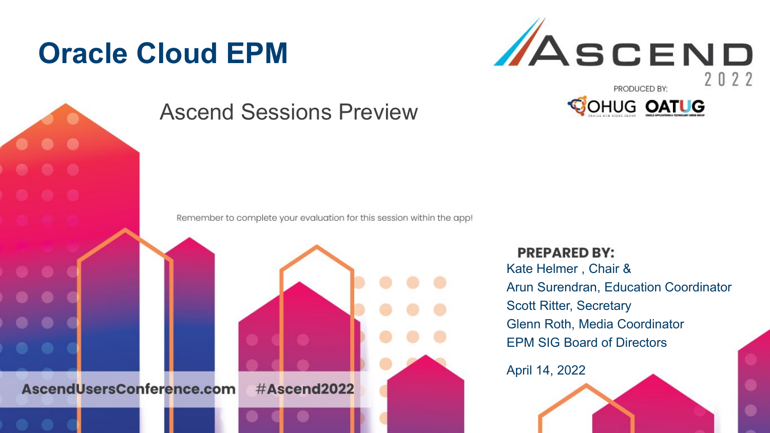## **Oracle Cloud EPM**



AscendUsersConference.com

#### Ascend Sessions Preview

Remember to complete your evaluation for this session within the app!

#Ascend2022

**PREPARED BY:** Kate Helmer , Chair & Arun Surendran, Education Coordinator Scott Ritter, Secretary Glenn Roth, Media Coordinator EPM SIG Board of Directors

April 14, 2022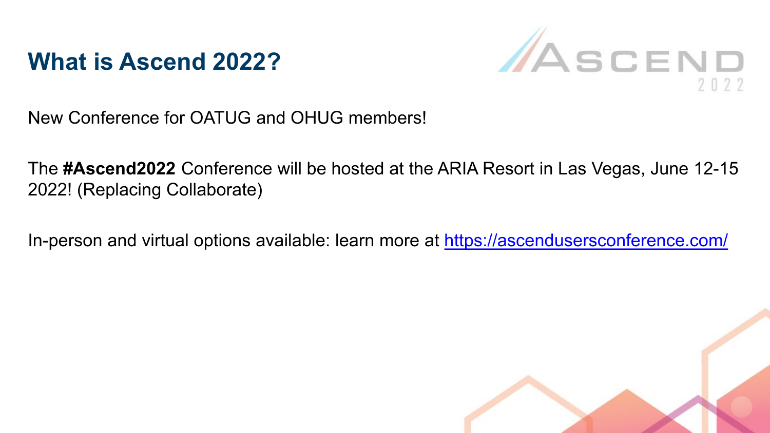



New Conference for OATUG and OHUG members!

The **#Ascend2022** Conference will be hosted at the ARIA Resort in Las Vegas, June 12-15 2022! (Replacing Collaborate)

In-person and virtual options available: learn more at <https://ascendusersconference.com/>

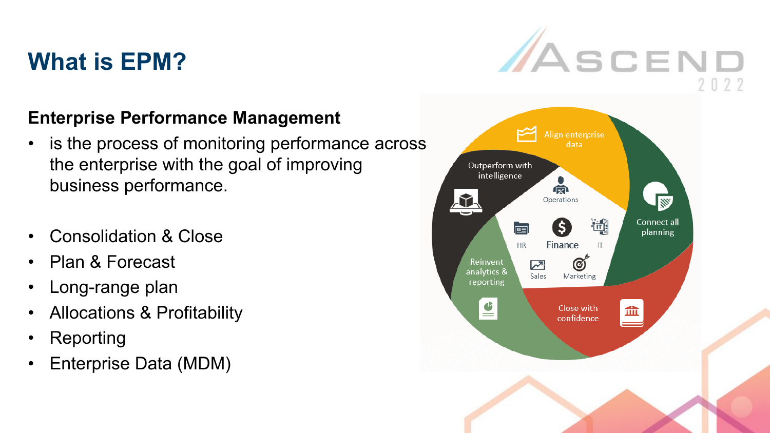#### **What is EPM?**



#### **Enterprise Performance Management**

- is the process of monitoring performance across the enterprise with the goal of improving business performance.
- Consolidation & Close
- Plan & Forecast
- Long-range plan
- Allocations & Profitability
- **Reporting**
- Enterprise Data (MDM)

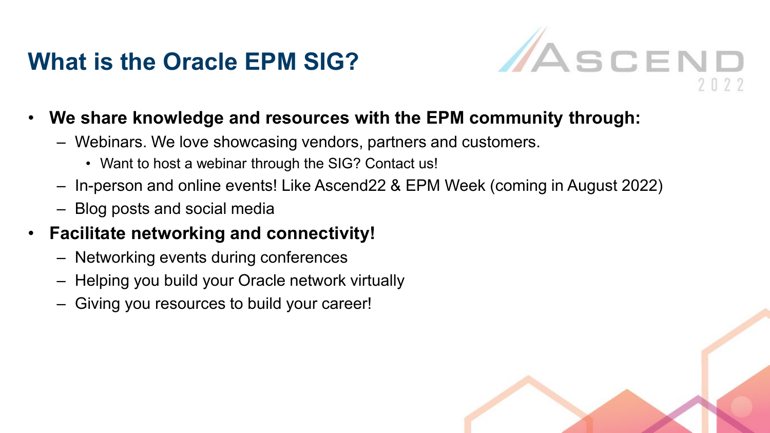#### **What is the Oracle EPM SIG?**



- **We share knowledge and resources with the EPM community through:**
	- Webinars. We love showcasing vendors, partners and customers.
		- Want to host a webinar through the SIG? Contact us!
	- In-person and online events! Like Ascend22 & EPM Week (coming in August 2022)
	- Blog posts and social media
- **Facilitate networking and connectivity!**
	- Networking events during conferences
	- Helping you build your Oracle network virtually
	- Giving you resources to build your career!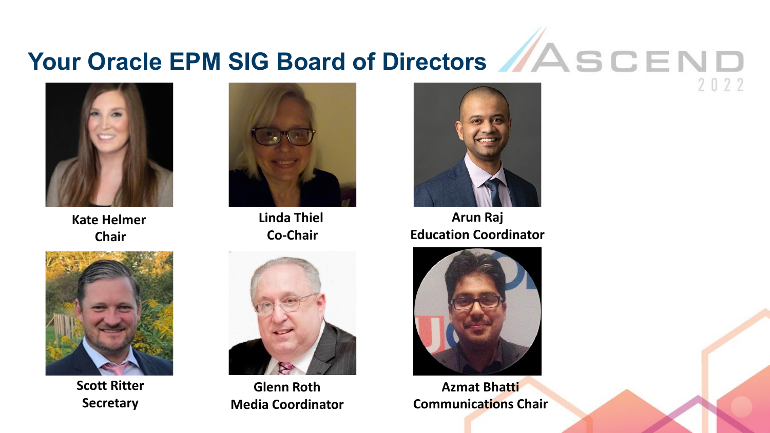## Your Oracle EPM SIG Board of Directors **//ASCEND**



**Kate Helmer Chair**



**Scott Ritter Secretary**



**Linda Thiel Co-Chair**



**Glenn Roth Media Coordinator**



2022

**Arun Raj Education Coordinator**



**Azmat Bhatti Communications Chair**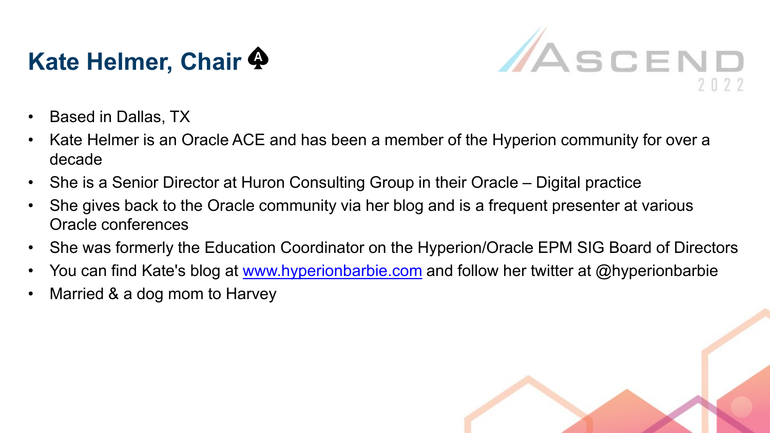### **Kate Helmer, Chair**



- Based in Dallas, TX
- Kate Helmer is an Oracle ACE and has been a member of the Hyperion community for over a decade
- She is a Senior Director at Huron Consulting Group in their Oracle Digital practice
- She gives back to the Oracle community via her blog and is a frequent presenter at various Oracle conferences
- She was formerly the Education Coordinator on the Hyperion/Oracle EPM SIG Board of Directors
- You can find Kate's blog at [www.hyperionbarbie.com](http://www.hyperionbarbie.com/) and follow her twitter at @hyperionbarbie
- Married & a dog mom to Harvey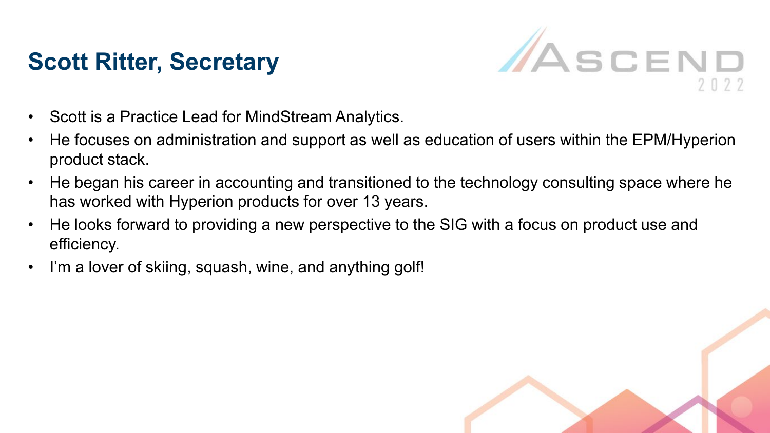#### **Scott Ritter, Secretary**



- Scott is a Practice Lead for MindStream Analytics.
- He focuses on administration and support as well as education of users within the EPM/Hyperion product stack.
- He began his career in accounting and transitioned to the technology consulting space where he has worked with Hyperion products for over 13 years.
- He looks forward to providing a new perspective to the SIG with a focus on product use and efficiency.
- I'm a lover of skiing, squash, wine, and anything golf!

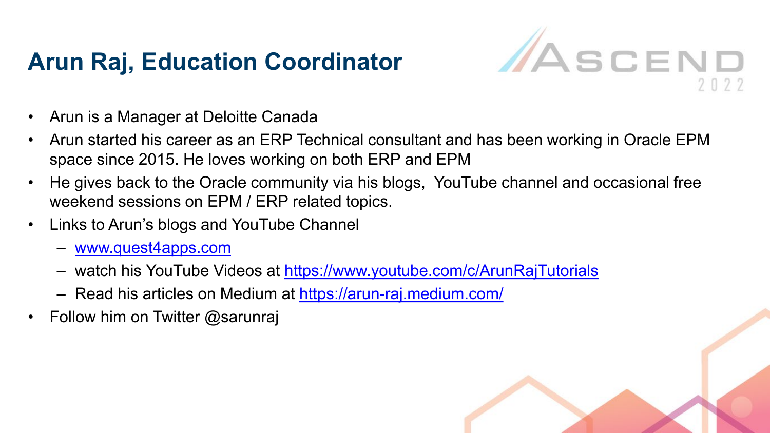#### **Arun Raj, Education Coordinator**



- Arun is a Manager at Deloitte Canada
- Arun started his career as an ERP Technical consultant and has been working in Oracle EPM space since 2015. He loves working on both ERP and EPM
- He gives back to the Oracle community via his blogs, YouTube channel and occasional free weekend sessions on EPM / ERP related topics.
- Links to Arun's blogs and YouTube Channel
	- [www.quest4apps.com](http://www.quest4apps.com/)
	- watch his YouTube Videos at <https://www.youtube.com/c/ArunRajTutorials>
	- Read his articles on Medium at<https://arun-raj.medium.com/>
- Follow him on Twitter @sarunraj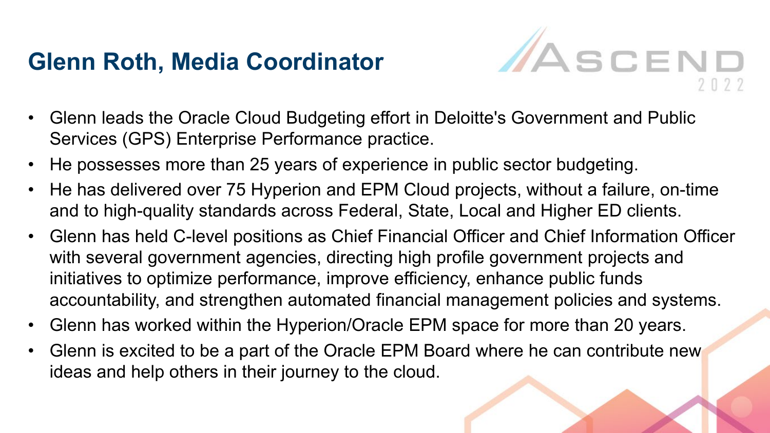#### **Glenn Roth, Media Coordinator**



- Glenn leads the Oracle Cloud Budgeting effort in Deloitte's Government and Public Services (GPS) Enterprise Performance practice.
- He possesses more than 25 years of experience in public sector budgeting.
- He has delivered over 75 Hyperion and EPM Cloud projects, without a failure, on-time and to high-quality standards across Federal, State, Local and Higher ED clients.
- Glenn has held C-level positions as Chief Financial Officer and Chief Information Officer with several government agencies, directing high profile government projects and initiatives to optimize performance, improve efficiency, enhance public funds accountability, and strengthen automated financial management policies and systems.
- Glenn has worked within the Hyperion/Oracle EPM space for more than 20 years.
- Glenn is excited to be a part of the Oracle EPM Board where he can contribute new ideas and help others in their journey to the cloud.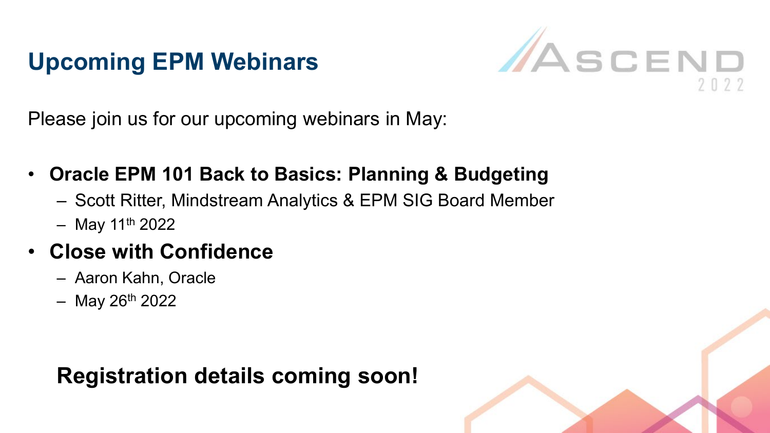#### **Upcoming EPM Webinars**



Please join us for our upcoming webinars in May:

- **Oracle EPM 101 Back to Basics: Planning & Budgeting**
	- Scott Ritter, Mindstream Analytics & EPM SIG Board Member
	- $-$  May 11<sup>th</sup> 2022

#### • **Close with Confidence**

- Aaron Kahn, Oracle
- $-$  May 26<sup>th</sup> 2022

#### **Registration details coming soon!**

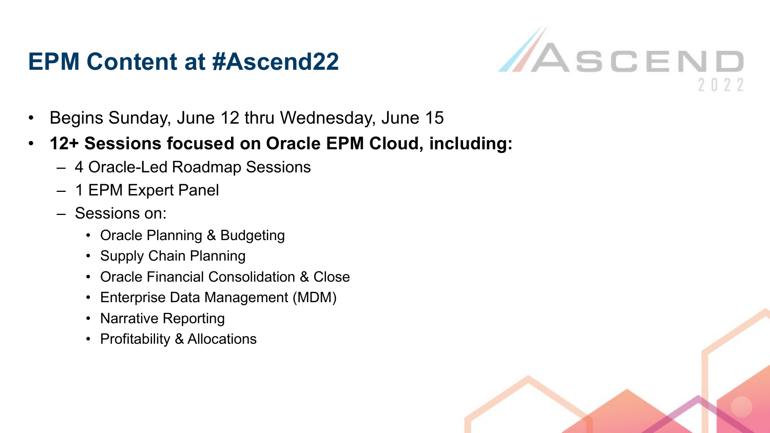#### **EPM Content at #Ascend22**



- Begins Sunday, June 12 thru Wednesday, June 15
- **12+ Sessions focused on Oracle EPM Cloud, including:**
	- 4 Oracle-Led Roadmap Sessions
	- 1 EPM Expert Panel
	- Sessions on:
		- Oracle Planning & Budgeting
		- Supply Chain Planning
		- Oracle Financial Consolidation & Close
		- Enterprise Data Management (MDM)
		- Narrative Reporting
		- Profitability & Allocations

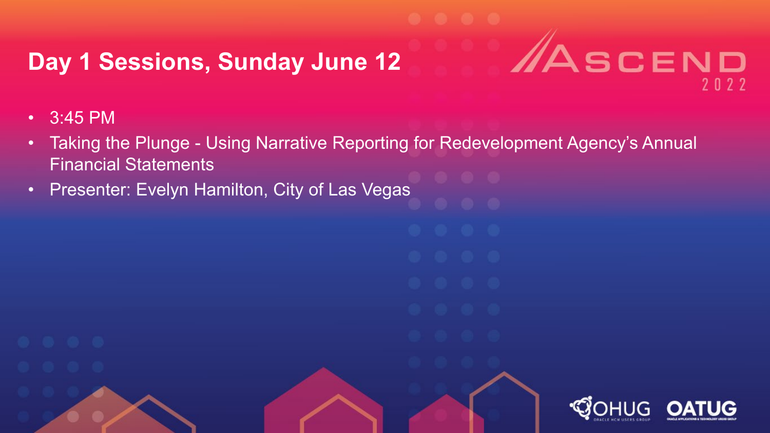#### **Day 1 Sessions, Sunday June 12**

- 3:45 PM
- Taking the Plunge Using Narrative Reporting for Redevelopment Agency's Annual Financial Statements

**ASCEND** 

 $2022$ 

• Presenter: Evelyn Hamilton, City of Las Vegas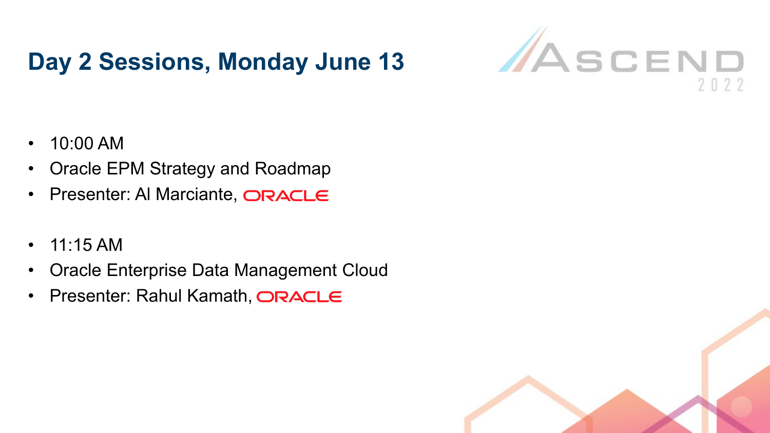#### **Day 2 Sessions, Monday June 13**



- 10:00 AM
- Oracle EPM Strategy and Roadmap
- Presenter: Al Marciante, ORACLE
- $11:15$  AM
- Oracle Enterprise Data Management Cloud
- Presenter: Rahul Kamath, ORACLE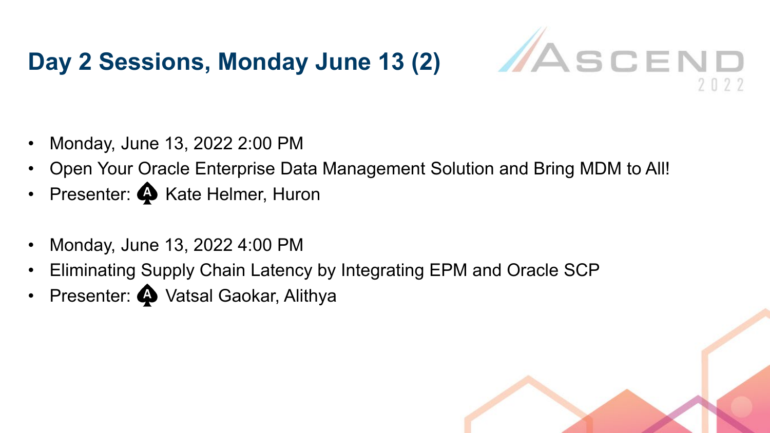#### **Day 2 Sessions, Monday June 13 (2)**



- Monday, June 13, 2022 2:00 PM
- Open Your Oracle Enterprise Data Management Solution and Bring MDM to All!
- Presenter:  $\clubsuit$  Kate Helmer, Huron
- Monday, June 13, 2022 4:00 PM
- Eliminating Supply Chain Latency by Integrating EPM and Oracle SCP
- Presenter:  $\spadesuit$  Vatsal Gaokar, Alithya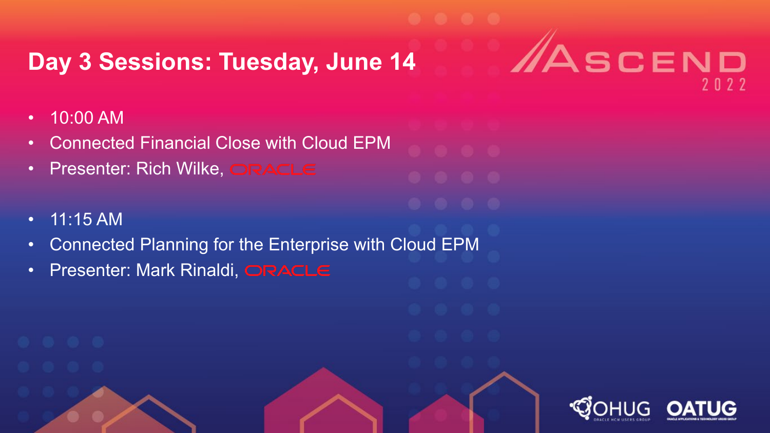#### **Day 3 Sessions: Tuesday, June 14**

**ASCEND** 

2022

- 10:00 AM
- Connected Financial Close with Cloud EPM
- Presenter: Rich Wilke, ORACLE
- 11:15 AM
- Connected Planning for the Enterprise with Cloud EPM
- Presenter: Mark Rinaldi, ORACLE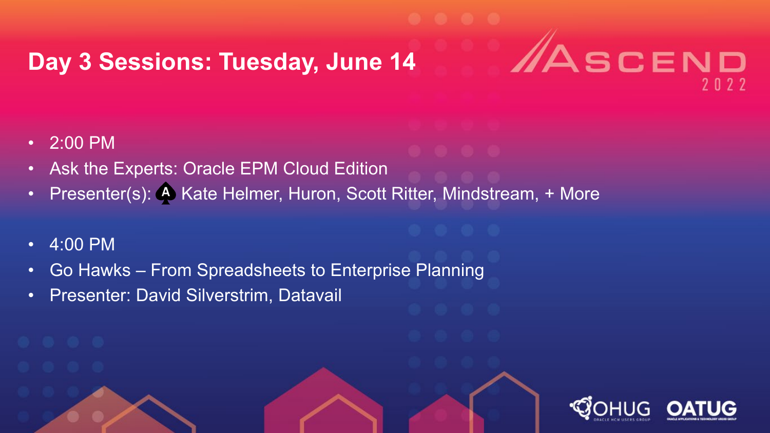#### **Day 3 Sessions: Tuesday, June 14**

- 2:00 PM
- Ask the Experts: Oracle EPM Cloud Edition
- Presenter(s): A Kate Helmer, Huron, Scott Ritter, Mindstream, + More

SCEND

- 4:00 PM
- Go Hawks From Spreadsheets to Enterprise Planning
- Presenter: David Silverstrim, Datavail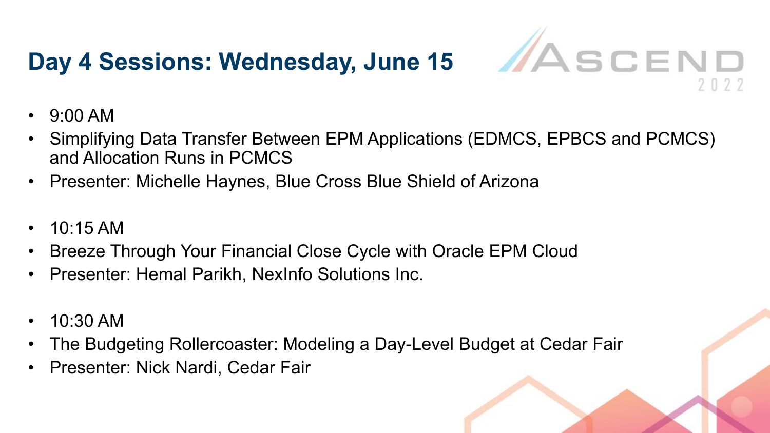# Day 4 Sessions: Wednesday, June 15 **MASCEND**



- 9:00 AM
- Simplifying Data Transfer Between EPM Applications (EDMCS, EPBCS and PCMCS) and Allocation Runs in PCMCS
- Presenter: Michelle Haynes, Blue Cross Blue Shield of Arizona
- 10:15 AM
- Breeze Through Your Financial Close Cycle with Oracle EPM Cloud
- Presenter: Hemal Parikh, NexInfo Solutions Inc.
- 10:30 AM
- The Budgeting Rollercoaster: Modeling a Day-Level Budget at Cedar Fair
- Presenter: Nick Nardi, Cedar Fair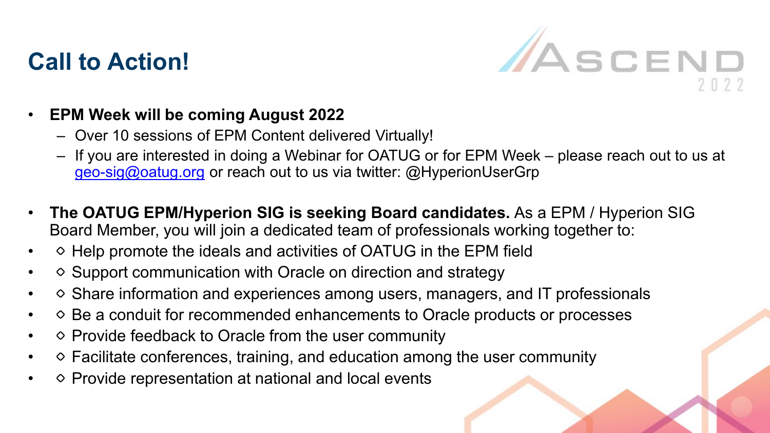#### **Call to Action!**



#### • **EPM Week will be coming August 2022**

- Over 10 sessions of EPM Content delivered Virtually!
- If you are interested in doing a Webinar for OATUG or for EPM Week please reach out to us at [geo-sig@oatug.org](mailto:geo-sig@oatug.org) or reach out to us via twitter: @HyperionUserGrp
- **The OATUG EPM/Hyperion SIG is seeking Board candidates.** As a EPM / Hyperion SIG Board Member, you will join a dedicated team of professionals working together to:
- Help promote the ideals and activities of OATUG in the EPM field
- Support communication with Oracle on direction and strategy
- Share information and experiences among users, managers, and IT professionals
- Be a conduit for recommended enhancements to Oracle products or processes
- Provide feedback to Oracle from the user community
- Facilitate conferences, training, and education among the user community
- Provide representation at national and local events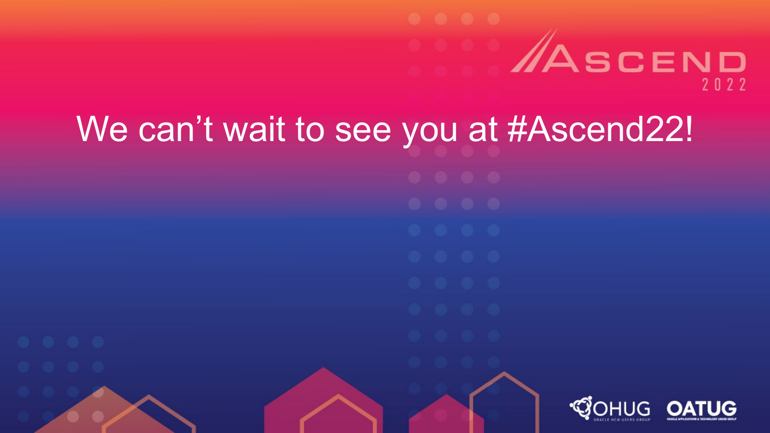# ASCEND  $2022$

# We can't wait to see you at #Ascend22! *COHUG*